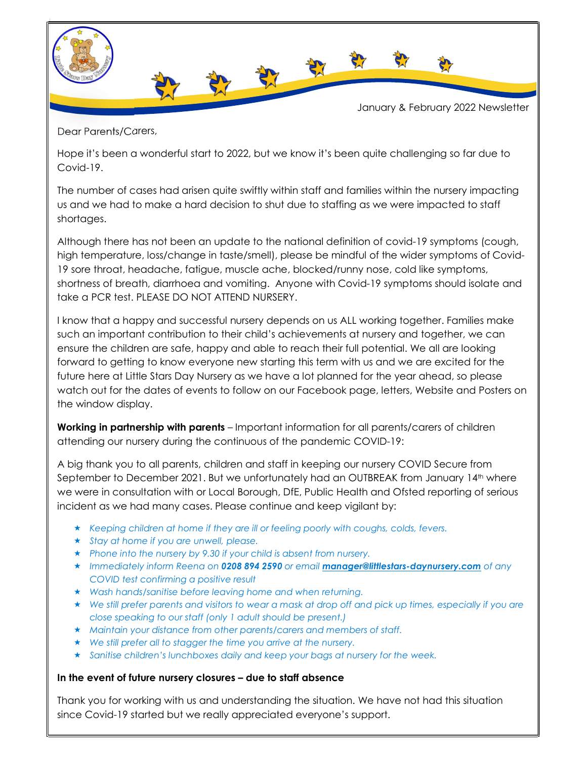

Dear Parents/Carers,

Hope it's been a wonderful start to 2022, but we know it's been quite challenging so far due to Covid-19.

The number of cases had arisen quite swiftly within staff and families within the nursery impacting us and we had to make a hard decision to shut due to staffing as we were impacted to staff shortages.

Although there has not been an update to the national definition of covid-19 symptoms (cough, high temperature, loss/change in taste/smell), please be mindful of the wider symptoms of Covid-19 sore throat, headache, fatigue, muscle ache, blocked/runny nose, cold like symptoms, shortness of breath, diarrhoea and vomiting. Anyone with Covid-19 symptoms should isolate and take a PCR test. PLEASE DO NOT ATTEND NURSERY.

I know that a happy and successful nursery depends on us ALL working together. Families make such an important contribution to their child's achievements at nursery and together, we can ensure the children are safe, happy and able to reach their full potential. We all are looking forward to getting to know everyone new starting this term with us and we are excited for the future here at Little Stars Day Nursery as we have a lot planned for the year ahead, so please watch out for the dates of events to follow on our Facebook page, letters, Website and Posters on the window display.

Working in partnership with parents – Important information for all parents/carers of children attending our nursery during the continuous of the pandemic COVID-19:

A big thank you to all parents, children and staff in keeping our nursery COVID Secure from September to December 2021. But we unfortunately had an OUTBREAK from January 14<sup>th</sup> where we were in consultation with or Local Borough, DfE, Public Health and Ofsted reporting of serious incident as we had many cases. Please continue and keep vigilant by:

- $\star$  Keeping children at home if they are ill or feeling poorly with coughs, colds, fevers.
- $\star$  Stay at home if you are unwell, please.
- $\star$  Phone into the nursery by 9.30 if your child is absent from nursery.
- \* Immediately inform Reena on 0208 894 2590 or email manager@littlestars-daynursery.com of any COVID test confirming a positive result
- Wash hands/sanitise before leaving home and when returning.
- We still prefer parents and visitors to wear a mask at drop off and pick up times, especially if you are close speaking to our staff (only 1 adult should be present.)
- $\star$  Maintain your distance from other parents/carers and members of staff.
- We still prefer all to stagger the time you arrive at the nursery.
- $\star$  Sanitise children's lunchboxes daily and keep your bags at nursery for the week.

## In the event of future nursery closures – due to staff absence

Thank you for working with us and understanding the situation. We have not had this situation since Covid-19 started but we really appreciated everyone's support.